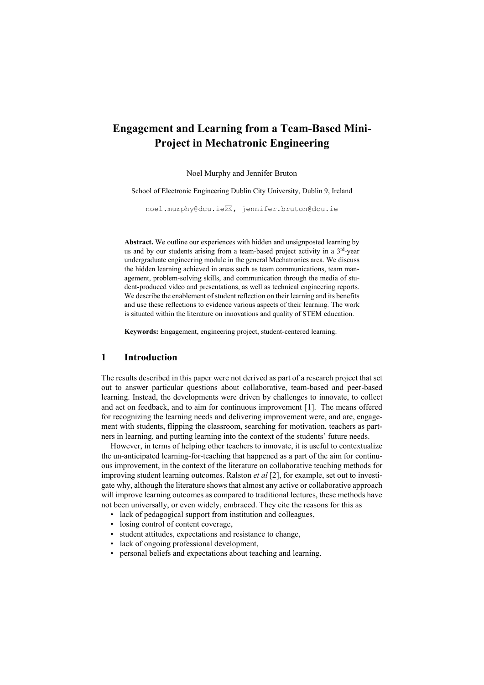# **Engagement and Learning from a Team-Based Mini-Project in Mechatronic Engineering**

Noel Murphy and Jennifer Bruton

School of Electronic Engineering Dublin City University, Dublin 9, Ireland

[noel.murphy@dcu.ie](mailto:noel.murphy@dcu.ie) $\boxtimes$ , jennifer.bruton@dcu.ie

**Abstract.** We outline our experiences with hidden and unsignposted learning by us and by our students arising from a team-based project activity in a 3<sup>rd</sup>-year undergraduate engineering module in the general Mechatronics area. We discuss the hidden learning achieved in areas such as team communications, team management, problem-solving skills, and communication through the media of student-produced video and presentations, as well as technical engineering reports. We describe the enablement of student reflection on their learning and its benefits and use these reflections to evidence various aspects of their learning. The work is situated within the literature on innovations and quality of STEM education.

**Keywords:** Engagement, engineering project, student-centered learning.

### **1 Introduction**

The results described in this paper were not derived as part of a research project that set out to answer particular questions about collaborative, team-based and peer-based learning. Instead, the developments were driven by challenges to innovate, to collect and act on feedback, and to aim for continuous improvement [1]. The means offered for recognizing the learning needs and delivering improvement were, and are, engagement with students, flipping the classroom, searching for motivation, teachers as partners in learning, and putting learning into the context of the students' future needs.

However, in terms of helping other teachers to innovate, it is useful to contextualize the un-anticipated learning-for-teaching that happened as a part of the aim for continuous improvement, in the context of the literature on collaborative teaching methods for improving student learning outcomes. Ralston *et al* [2], for example, set out to investigate why, although the literature shows that almost any active or collaborative approach will improve learning outcomes as compared to traditional lectures, these methods have not been universally, or even widely, embraced. They cite the reasons for this as

- lack of pedagogical support from institution and colleagues,
- losing control of content coverage,
- student attitudes, expectations and resistance to change,
- lack of ongoing professional development,
- personal beliefs and expectations about teaching and learning.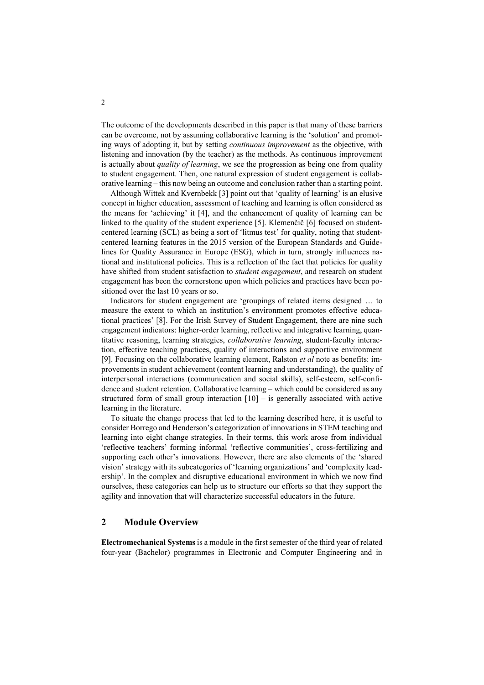The outcome of the developments described in this paper is that many of these barriers can be overcome, not by assuming collaborative learning is the 'solution' and promoting ways of adopting it, but by setting *continuous improvement* as the objective, with listening and innovation (by the teacher) as the methods. As continuous improvement is actually about *quality of learning*, we see the progression as being one from quality to student engagement. Then, one natural expression of student engagement is collaborative learning – this now being an outcome and conclusion rather than a starting point.

Although Wittek and Kvernbekk [3] point out that 'quality of learning' is an elusive concept in higher education, assessment of teaching and learning is often considered as the means for 'achieving' it [4], and the enhancement of quality of learning can be linked to the quality of the student experience [5]. Klemenčič [6] focused on studentcentered learning (SCL) as being a sort of 'litmus test' for quality, noting that studentcentered learning features in the 2015 version of the European Standards and Guidelines for Quality Assurance in Europe (ESG), which in turn, strongly influences national and institutional policies. This is a reflection of the fact that policies for quality have shifted from student satisfaction to *student engagement*, and research on student engagement has been the cornerstone upon which policies and practices have been positioned over the last 10 years or so.

Indicators for student engagement are 'groupings of related items designed … to measure the extent to which an institution's environment promotes effective educational practices' [8]. For the Irish Survey of Student Engagement, there are nine such engagement indicators: higher-order learning, reflective and integrative learning, quantitative reasoning, learning strategies, *collaborative learning*, student-faculty interaction, effective teaching practices, quality of interactions and supportive environment [9]. Focusing on the collaborative learning element, Ralston *et al* note as benefits: improvements in student achievement (content learning and understanding), the quality of interpersonal interactions (communication and social skills), self-esteem, self-confidence and student retention. Collaborative learning – which could be considered as any structured form of small group interaction  $[10]$  – is generally associated with active learning in the literature.

To situate the change process that led to the learning described here, it is useful to consider Borrego and Henderson's categorization of innovations in STEM teaching and learning into eight change strategies. In their terms, this work arose from individual 'reflective teachers' forming informal 'reflective communities', cross-fertilizing and supporting each other's innovations. However, there are also elements of the 'shared vision' strategy with its subcategories of 'learning organizations' and 'complexity leadership'. In the complex and disruptive educational environment in which we now find ourselves, these categories can help us to structure our efforts so that they support the agility and innovation that will characterize successful educators in the future.

## **2 Module Overview**

**Electromechanical Systems** is a module in the first semester of the third year of related four-year (Bachelor) programmes in Electronic and Computer Engineering and in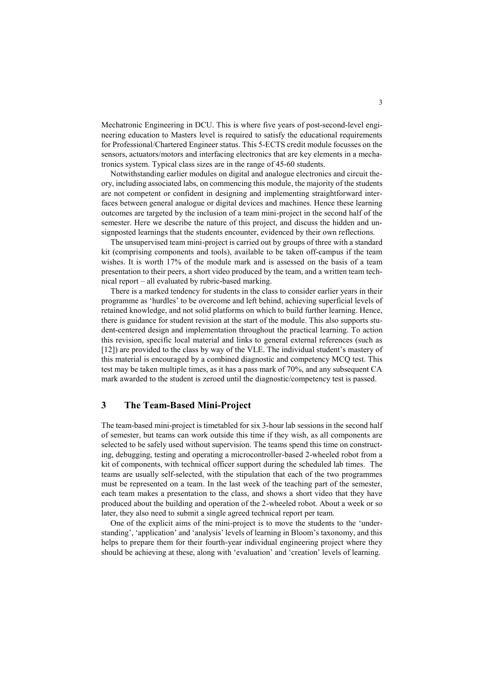Mechatronic Engineering in DCU. This is where five years of post-second-level engineering education to Masters level is required to satisfy the educational requirements for Professional/Chartered Engineer status. This 5-ECTS credit module focusses on the sensors, actuators/motors and interfacing electronics that are key elements in a mechatronics system. Typical class sizes are in the range of 45-60 students.

Notwithstanding earlier modules on digital and analogue electronics and circuit theory, including associated labs, on commencing this module, the majority of the students are not competent or confident in designing and implementing straightforward interfaces between general analogue or digital devices and machines. Hence these learning outcomes are targeted by the inclusion of a team mini-project in the second half of the semester. Here we describe the nature of this project, and discuss the hidden and unsignposted learnings that the students encounter, evidenced by their own reflections.

The unsupervised team mini-project is carried out by groups of three with a standard kit (comprising components and tools), available to be taken off-campus if the team wishes. It is worth 17% of the module mark and is assessed on the basis of a team presentation to their peers, a short video produced by the team, and a written team technical report – all evaluated by rubric-based marking.

There is a marked tendency for students in the class to consider earlier years in their programme as 'hurdles' to be overcome and left behind, achieving superficial levels of retained knowledge, and not solid platforms on which to build further learning. Hence, there is guidance for student revision at the start of the module. This also supports student-centered design and implementation throughout the practical learning. To action this revision, specific local material and links to general external references (such as [12]) are provided to the class by way of the VLE. The individual student's mastery of this material is encouraged by a combined diagnostic and competency MCQ test. This test may be taken multiple times, as it has a pass mark of 70%, and any subsequent CA mark awarded to the student is zeroed until the diagnostic/competency test is passed.

## **3 The Team-Based Mini-Project**

The team-based mini-project is timetabled for six 3-hour lab sessions in the second half of semester, but teams can work outside this time if they wish, as all components are selected to be safely used without supervision. The teams spend this time on constructing, debugging, testing and operating a microcontroller-based 2-wheeled robot from a kit of components, with technical officer support during the scheduled lab times. The teams are usually self-selected, with the stipulation that each of the two programmes must be represented on a team. In the last week of the teaching part of the semester, each team makes a presentation to the class, and shows a short video that they have produced about the building and operation of the 2-wheeled robot. About a week or so later, they also need to submit a single agreed technical report per team.

One of the explicit aims of the mini-project is to move the students to the 'understanding', 'application' and 'analysis' levels of learning in Bloom's taxonomy, and this helps to prepare them for their fourth-year individual engineering project where they should be achieving at these, along with 'evaluation' and 'creation' levels of learning.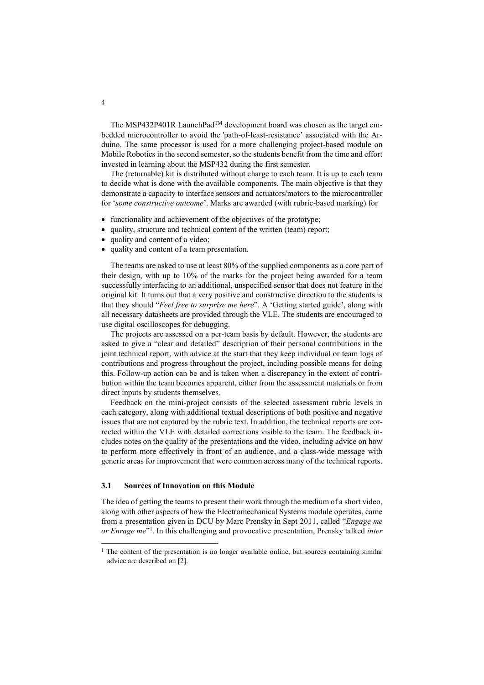The MSP432P401R LaunchPad™ development board was chosen as the target embedded microcontroller to avoid the 'path-of-least-resistance' associated with the Arduino. The same processor is used for a more challenging project-based module on Mobile Robotics in the second semester, so the students benefit from the time and effort invested in learning about the MSP432 during the first semester.

The (returnable) kit is distributed without charge to each team. It is up to each team to decide what is done with the available components. The main objective is that they demonstrate a capacity to interface sensors and actuators/motors to the microcontroller for '*some constructive outcome*'. Marks are awarded (with rubric-based marking) for

- functionality and achievement of the objectives of the prototype;
- quality, structure and technical content of the written (team) report;
- quality and content of a video;
- quality and content of a team presentation.

The teams are asked to use at least 80% of the supplied components as a core part of their design, with up to 10% of the marks for the project being awarded for a team successfully interfacing to an additional, unspecified sensor that does not feature in the original kit. It turns out that a very positive and constructive direction to the students is that they should "*Feel free to surprise me here*". A 'Getting started guide', along with all necessary datasheets are provided through the VLE. The students are encouraged to use digital oscilloscopes for debugging.

The projects are assessed on a per-team basis by default. However, the students are asked to give a "clear and detailed" description of their personal contributions in the joint technical report, with advice at the start that they keep individual or team logs of contributions and progress throughout the project, including possible means for doing this. Follow-up action can be and is taken when a discrepancy in the extent of contribution within the team becomes apparent, either from the assessment materials or from direct inputs by students themselves.

Feedback on the mini-project consists of the selected assessment rubric levels in each category, along with additional textual descriptions of both positive and negative issues that are not captured by the rubric text. In addition, the technical reports are corrected within the VLE with detailed corrections visible to the team. The feedback includes notes on the quality of the presentations and the video, including advice on how to perform more effectively in front of an audience, and a class-wide message with generic areas for improvement that were common across many of the technical reports.

#### **3.1 Sources of Innovation on this Module**

 $\overline{a}$ 

The idea of getting the teams to present their work through the medium of a short video, along with other aspects of how the Electromechanical Systems module operates, came from a presentation given in DCU by Marc Prensky in Sept 2011, called "*Engage me or Enrage me*" 1 . In this challenging and provocative presentation, Prensky talked *inter* 

4

<sup>&</sup>lt;sup>1</sup> The content of the presentation is no longer available online, but sources containing similar advice are described on [2].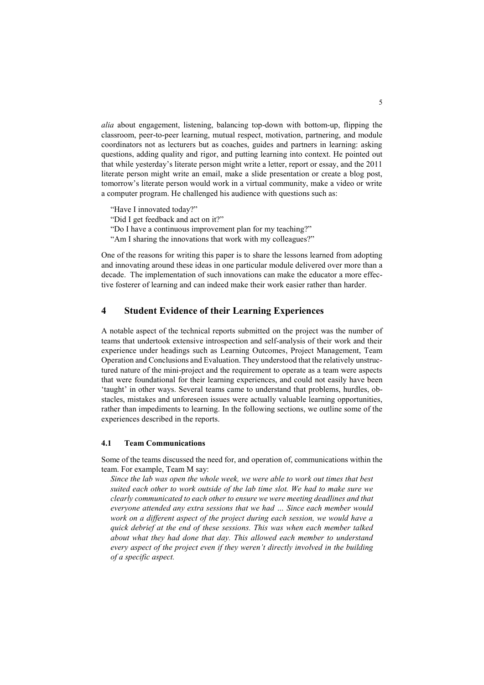*alia* about engagement, listening, balancing top-down with bottom-up, flipping the classroom, peer-to-peer learning, mutual respect, motivation, partnering, and module coordinators not as lecturers but as coaches, guides and partners in learning: asking questions, adding quality and rigor, and putting learning into context. He pointed out that while yesterday's literate person might write a letter, report or essay, and the 2011 literate person might write an email, make a slide presentation or create a blog post, tomorrow's literate person would work in a virtual community, make a video or write a computer program. He challenged his audience with questions such as:

"Have I innovated today?"

"Did I get feedback and act on it?"

- "Do I have a continuous improvement plan for my teaching?"
- "Am I sharing the innovations that work with my colleagues?"

One of the reasons for writing this paper is to share the lessons learned from adopting and innovating around these ideas in one particular module delivered over more than a decade. The implementation of such innovations can make the educator a more effective fosterer of learning and can indeed make their work easier rather than harder.

## **4 Student Evidence of their Learning Experiences**

A notable aspect of the technical reports submitted on the project was the number of teams that undertook extensive introspection and self-analysis of their work and their experience under headings such as Learning Outcomes, Project Management, Team Operation and Conclusions and Evaluation. They understood that the relatively unstructured nature of the mini-project and the requirement to operate as a team were aspects that were foundational for their learning experiences, and could not easily have been 'taught' in other ways. Several teams came to understand that problems, hurdles, obstacles, mistakes and unforeseen issues were actually valuable learning opportunities, rather than impediments to learning. In the following sections, we outline some of the experiences described in the reports.

## **4.1 Team Communications**

Some of the teams discussed the need for, and operation of, communications within the team. For example, Team M say:

*Since the lab was open the whole week, we were able to work out times that best suited each other to work outside of the lab time slot. We had to make sure we clearly communicated to each other to ensure we were meeting deadlines and that everyone attended any extra sessions that we had … Since each member would work on a different aspect of the project during each session, we would have a quick debrief at the end of these sessions. This was when each member talked about what they had done that day. This allowed each member to understand every aspect of the project even if they weren't directly involved in the building of a specific aspect.*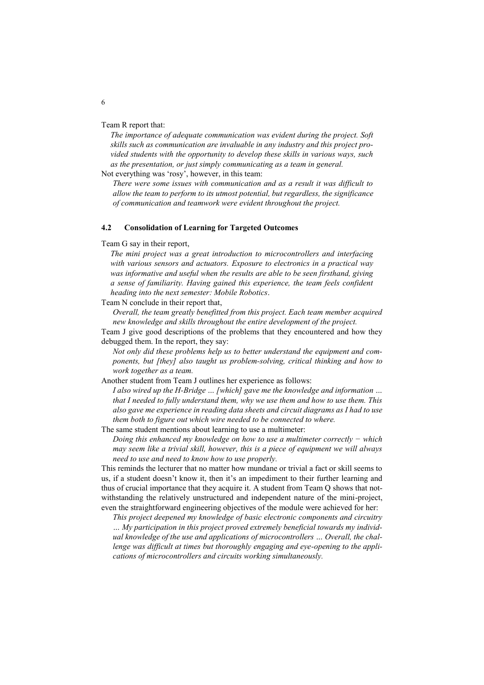Team R report that:

*The importance of adequate communication was evident during the project. Soft skills such as communication are invaluable in any industry and this project provided students with the opportunity to develop these skills in various ways, such as the presentation, or just simply communicating as a team in general.*

Not everything was 'rosy', however, in this team:

*There were some issues with communication and as a result it was difficult to allow the team to perform to its utmost potential, but regardless, the significance of communication and teamwork were evident throughout the project.*

## **4.2 Consolidation of Learning for Targeted Outcomes**

Team G say in their report,

*The mini project was a great introduction to microcontrollers and interfacing with various sensors and actuators. Exposure to electronics in a practical way was informative and useful when the results are able to be seen firsthand, giving a sense of familiarity. Having gained this experience, the team feels confident heading into the next semester: Mobile Robotics*.

Team N conclude in their report that,

*Overall, the team greatly benefitted from this project. Each team member acquired new knowledge and skills throughout the entire development of the project.*

Team J give good descriptions of the problems that they encountered and how they debugged them. In the report, they say:

*Not only did these problems help us to better understand the equipment and components, but [they] also taught us problem-solving, critical thinking and how to work together as a team.*

Another student from Team J outlines her experience as follows:

*I also wired up the H-Bridge … [which] gave me the knowledge and information … that I needed to fully understand them, why we use them and how to use them. This also gave me experience in reading data sheets and circuit diagrams as I had to use them both to figure out which wire needed to be connected to where.*

The same student mentions about learning to use a multimeter:

*Doing this enhanced my knowledge on how to use a multimeter correctly − which may seem like a trivial skill, however, this is a piece of equipment we will always need to use and need to know how to use properly.* 

This reminds the lecturer that no matter how mundane or trivial a fact or skill seems to us, if a student doesn't know it, then it's an impediment to their further learning and thus of crucial importance that they acquire it. A student from Team Q shows that notwithstanding the relatively unstructured and independent nature of the mini-project, even the straightforward engineering objectives of the module were achieved for her:

*This project deepened my knowledge of basic electronic components and circuitry … My participation in this project proved extremely beneficial towards my individual knowledge of the use and applications of microcontrollers … Overall, the challenge was difficult at times but thoroughly engaging and eye-opening to the applications of microcontrollers and circuits working simultaneously.*

6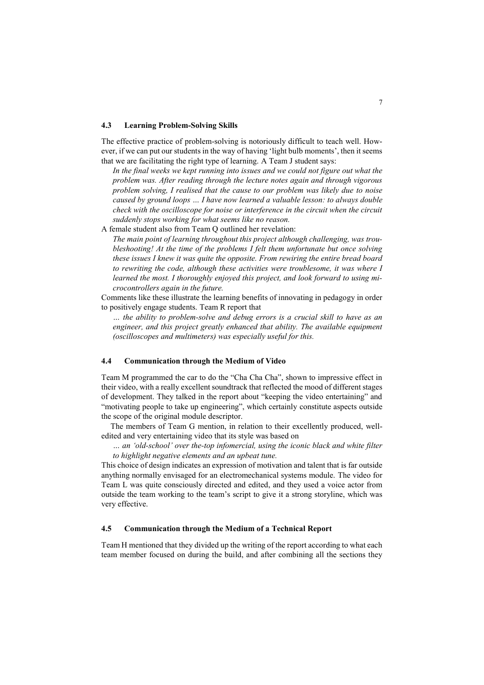#### **4.3 Learning Problem-Solving Skills**

The effective practice of problem-solving is notoriously difficult to teach well. However, if we can put our students in the way of having 'light bulb moments', then it seems that we are facilitating the right type of learning. A Team J student says:

In the final weeks we kept running into issues and we could not figure out what the *problem was. After reading through the lecture notes again and through vigorous problem solving, I realised that the cause to our problem was likely due to noise caused by ground loops … I have now learned a valuable lesson: to always double check with the oscilloscope for noise or interference in the circuit when the circuit suddenly stops working for what seems like no reason.*

A female student also from Team Q outlined her revelation:

*The main point of learning throughout this project although challenging, was troubleshooting! At the time of the problems I felt them unfortunate but once solving these issues I knew it was quite the opposite. From rewiring the entire bread board to rewriting the code, although these activities were troublesome, it was where I learned the most. I thoroughly enjoyed this project, and look forward to using microcontrollers again in the future.*

Comments like these illustrate the learning benefits of innovating in pedagogy in order to positively engage students. Team R report that

*… the ability to problem-solve and debug errors is a crucial skill to have as an engineer, and this project greatly enhanced that ability. The available equipment (oscilloscopes and multimeters) was especially useful for this.*

## **4.4 Communication through the Medium of Video**

Team M programmed the car to do the "Cha Cha Cha", shown to impressive effect in their video, with a really excellent soundtrack that reflected the mood of different stages of development. They talked in the report about "keeping the video entertaining" and "motivating people to take up engineering", which certainly constitute aspects outside the scope of the original module descriptor.

The members of Team G mention, in relation to their excellently produced, welledited and very entertaining video that its style was based on

*… an 'old-school' over the-top infomercial, using the iconic black and white filter to highlight negative elements and an upbeat tune.* 

This choice of design indicates an expression of motivation and talent that is far outside anything normally envisaged for an electromechanical systems module. The video for Team L was quite consciously directed and edited, and they used a voice actor from outside the team working to the team's script to give it a strong storyline, which was very effective.

### **4.5 Communication through the Medium of a Technical Report**

Team H mentioned that they divided up the writing of the report according to what each team member focused on during the build, and after combining all the sections they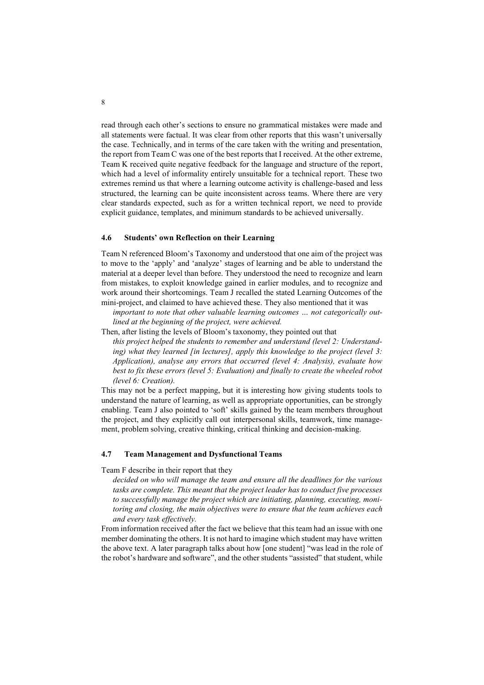read through each other's sections to ensure no grammatical mistakes were made and all statements were factual. It was clear from other reports that this wasn't universally the case. Technically, and in terms of the care taken with the writing and presentation, the report from Team C was one of the best reports that I received. At the other extreme, Team K received quite negative feedback for the language and structure of the report, which had a level of informality entirely unsuitable for a technical report. These two extremes remind us that where a learning outcome activity is challenge-based and less structured, the learning can be quite inconsistent across teams. Where there are very clear standards expected, such as for a written technical report, we need to provide explicit guidance, templates, and minimum standards to be achieved universally.

#### **4.6 Students' own Reflection on their Learning**

Team N referenced Bloom's Taxonomy and understood that one aim of the project was to move to the 'apply' and 'analyze' stages of learning and be able to understand the material at a deeper level than before. They understood the need to recognize and learn from mistakes, to exploit knowledge gained in earlier modules, and to recognize and work around their shortcomings. Team J recalled the stated Learning Outcomes of the mini-project, and claimed to have achieved these. They also mentioned that it was

*important to note that other valuable learning outcomes … not categorically outlined at the beginning of the project, were achieved.*

Then, after listing the levels of Bloom's taxonomy, they pointed out that

*this project helped the students to remember and understand (level 2: Understanding) what they learned [in lectures], apply this knowledge to the project (level 3: Application), analyse any errors that occurred (level 4: Analysis), evaluate how best to fix these errors (level 5: Evaluation) and finally to create the wheeled robot (level 6: Creation).*

This may not be a perfect mapping, but it is interesting how giving students tools to understand the nature of learning, as well as appropriate opportunities, can be strongly enabling. Team J also pointed to 'soft' skills gained by the team members throughout the project, and they explicitly call out interpersonal skills, teamwork, time management, problem solving, creative thinking, critical thinking and decision-making.

#### **4.7 Team Management and Dysfunctional Teams**

### Team F describe in their report that they

*decided on who will manage the team and ensure all the deadlines for the various tasks are complete. This meant that the project leader has to conduct five processes to successfully manage the project which are initiating, planning, executing, monitoring and closing, the main objectives were to ensure that the team achieves each and every task effectively.*

From information received after the fact we believe that this team had an issue with one member dominating the others. It is not hard to imagine which student may have written the above text. A later paragraph talks about how [one student] "was lead in the role of the robot's hardware and software", and the other students "assisted" that student, while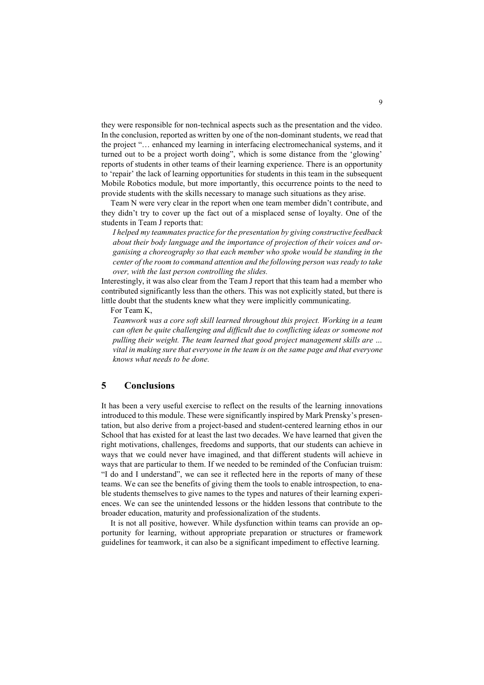they were responsible for non-technical aspects such as the presentation and the video. In the conclusion, reported as written by one of the non-dominant students, we read that the project "… enhanced my learning in interfacing electromechanical systems, and it turned out to be a project worth doing", which is some distance from the 'glowing' reports of students in other teams of their learning experience. There is an opportunity to 'repair' the lack of learning opportunities for students in this team in the subsequent Mobile Robotics module, but more importantly, this occurrence points to the need to provide students with the skills necessary to manage such situations as they arise.

Team N were very clear in the report when one team member didn't contribute, and they didn't try to cover up the fact out of a misplaced sense of loyalty. One of the students in Team J reports that:

*I helped my teammates practice for the presentation by giving constructive feedback about their body language and the importance of projection of their voices and organising a choreography so that each member who spoke would be standing in the center of the room to command attention and the following person was ready to take over, with the last person controlling the slides.*

Interestingly, it was also clear from the Team J report that this team had a member who contributed significantly less than the others. This was not explicitly stated, but there is little doubt that the students knew what they were implicitly communicating.

For Team K,

*Teamwork was a core soft skill learned throughout this project. Working in a team can often be quite challenging and difficult due to conflicting ideas or someone not pulling their weight. The team learned that good project management skills are … vital in making sure that everyone in the team is on the same page and that everyone knows what needs to be done.* 

## **5 Conclusions**

It has been a very useful exercise to reflect on the results of the learning innovations introduced to this module. These were significantly inspired by Mark Prensky's presentation, but also derive from a project-based and student-centered learning ethos in our School that has existed for at least the last two decades. We have learned that given the right motivations, challenges, freedoms and supports, that our students can achieve in ways that we could never have imagined, and that different students will achieve in ways that are particular to them. If we needed to be reminded of the Confucian truism: "I do and I understand", we can see it reflected here in the reports of many of these teams. We can see the benefits of giving them the tools to enable introspection, to enable students themselves to give names to the types and natures of their learning experiences. We can see the unintended lessons or the hidden lessons that contribute to the broader education, maturity and professionalization of the students.

It is not all positive, however. While dysfunction within teams can provide an opportunity for learning, without appropriate preparation or structures or framework guidelines for teamwork, it can also be a significant impediment to effective learning.